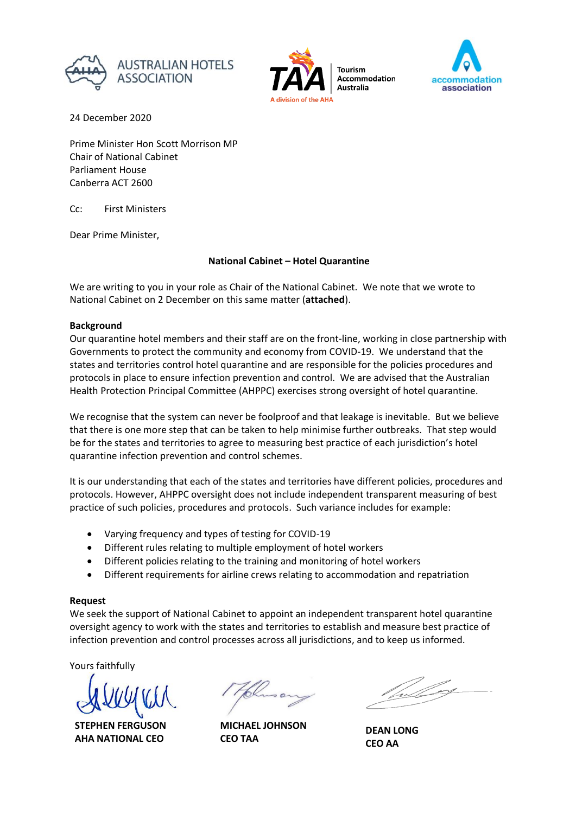



**Accommodation** Australia



24 December 2020

Prime Minister Hon Scott Morrison MP Chair of National Cabinet Parliament House Canberra ACT 2600

Cc: First Ministers

Dear Prime Minister,

# **National Cabinet – Hotel Quarantine**

We are writing to you in your role as Chair of the National Cabinet. We note that we wrote to National Cabinet on 2 December on this same matter (**attached**).

## **Background**

Our quarantine hotel members and their staff are on the front-line, working in close partnership with Governments to protect the community and economy from COVID-19. We understand that the states and territories control hotel quarantine and are responsible for the policies procedures and protocols in place to ensure infection prevention and control. We are advised that the Australian Health Protection Principal Committee (AHPPC) exercises strong oversight of hotel quarantine.

We recognise that the system can never be foolproof and that leakage is inevitable. But we believe that there is one more step that can be taken to help minimise further outbreaks. That step would be for the states and territories to agree to measuring best practice of each jurisdiction's hotel quarantine infection prevention and control schemes.

It is our understanding that each of the states and territories have different policies, procedures and protocols. However, AHPPC oversight does not include independent transparent measuring of best practice of such policies, procedures and protocols. Such variance includes for example:

- Varying frequency and types of testing for COVID-19
- Different rules relating to multiple employment of hotel workers
- Different policies relating to the training and monitoring of hotel workers
- Different requirements for airline crews relating to accommodation and repatriation

# **Request**

We seek the support of National Cabinet to appoint an independent transparent hotel quarantine oversight agency to work with the states and territories to establish and measure best practice of infection prevention and control processes across all jurisdictions, and to keep us informed.

Yours faithfully

**STEPHEN FERGUSON AHA NATIONAL CEO**

**MICHAEL JOHNSON CEO TAA**

**DEAN LONG CEO AA**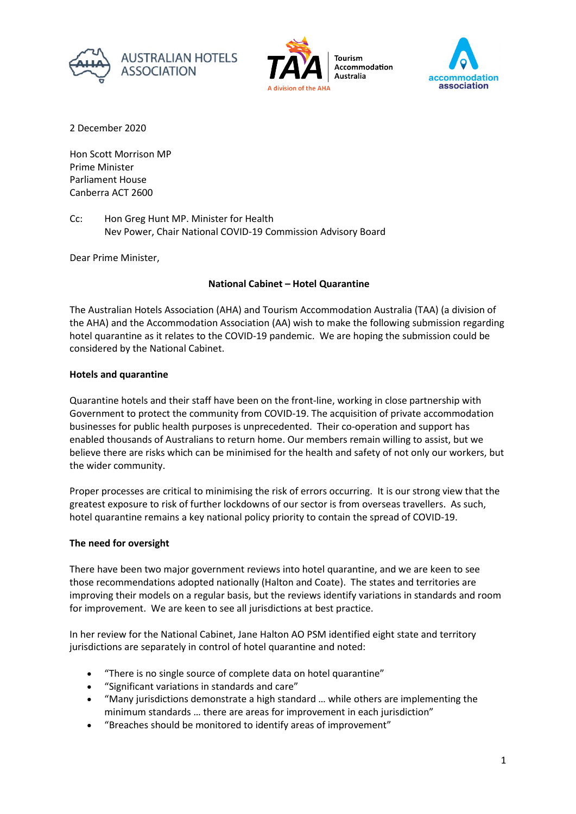





2 December 2020

Hon Scott Morrison MP Prime Minister Parliament House Canberra ACT 2600

Cc: Hon Greg Hunt MP. Minister for Health Nev Power, Chair National COVID-19 Commission Advisory Board

Dear Prime Minister,

# **National Cabinet – Hotel Quarantine**

The Australian Hotels Association (AHA) and Tourism Accommodation Australia (TAA) (a division of the AHA) and the Accommodation Association (AA) wish to make the following submission regarding hotel quarantine as it relates to the COVID-19 pandemic. We are hoping the submission could be considered by the National Cabinet.

## **Hotels and quarantine**

Quarantine hotels and their staff have been on the front-line, working in close partnership with Government to protect the community from COVID-19. The acquisition of private accommodation businesses for public health purposes is unprecedented. Their co-operation and support has enabled thousands of Australians to return home. Our members remain willing to assist, but we believe there are risks which can be minimised for the health and safety of not only our workers, but the wider community.

Proper processes are critical to minimising the risk of errors occurring. It is our strong view that the greatest exposure to risk of further lockdowns of our sector is from overseas travellers. As such, hotel quarantine remains a key national policy priority to contain the spread of COVID-19.

### **The need for oversight**

There have been two major government reviews into hotel quarantine, and we are keen to see those recommendations adopted nationally (Halton and Coate). The states and territories are improving their models on a regular basis, but the reviews identify variations in standards and room for improvement. We are keen to see all jurisdictions at best practice.

In her review for the National Cabinet, Jane Halton AO PSM identified eight state and territory jurisdictions are separately in control of hotel quarantine and noted:

- "There is no single source of complete data on hotel quarantine"
- "Significant variations in standards and care"
- "Many jurisdictions demonstrate a high standard … while others are implementing the minimum standards … there are areas for improvement in each jurisdiction"
- "Breaches should be monitored to identify areas of improvement"